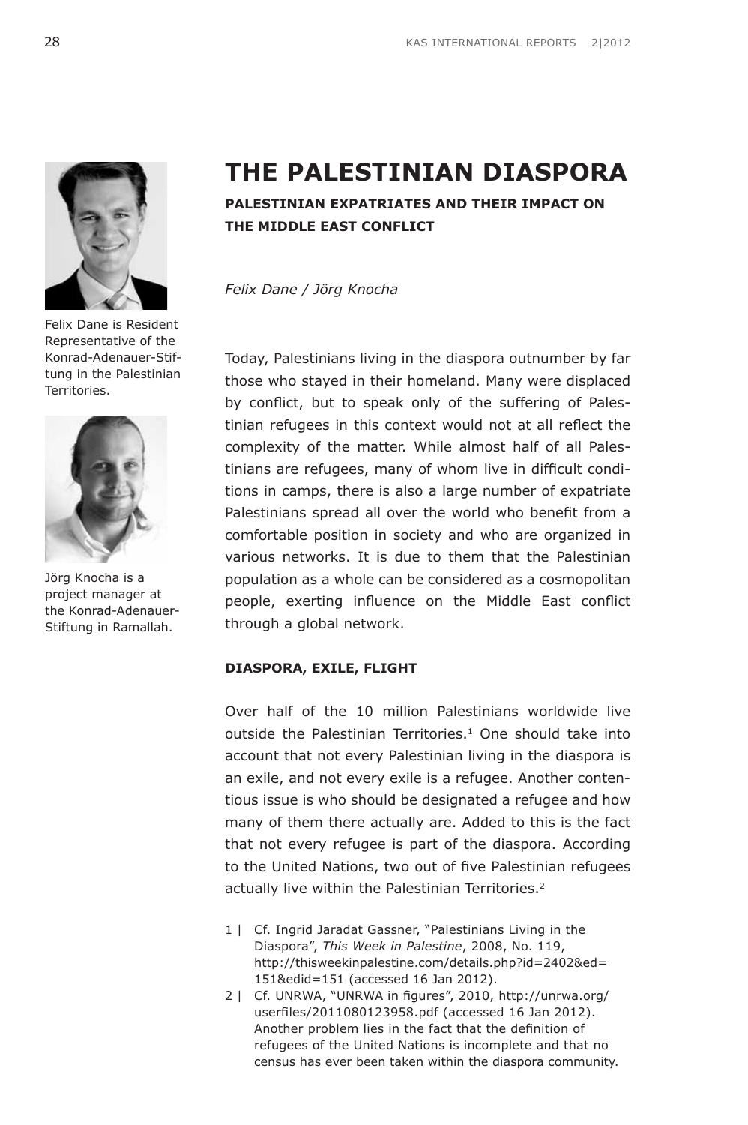

Felix Dane is Resident Representative of the Konrad-Adenauer-Stiftung in the Palestinian Territories.



Jörg Knocha is a project manager at the Konrad-Adenauer-Stiftung in Ramallah.

# **The Palestinian Diaspora**

# **Palestinian Expatriates and their Impact on the Middle East Conflict**

*Felix Dane / Jörg Knocha*

Today, Palestinians living in the diaspora outnumber by far those who stayed in their homeland. Many were displaced by conflict, but to speak only of the suffering of Palestinian refugees in this context would not at all reflect the complexity of the matter. While almost half of all Palestinians are refugees, many of whom live in difficult conditions in camps, there is also a large number of expatriate Palestinians spread all over the world who benefit from a comfortable position in society and who are organized in various networks. It is due to them that the Palestinian population as a whole can be considered as a cosmopolitan people, exerting influence on the Middle East conflict through a global network.

# **Diaspora, Exile, Flight**

Over half of the 10 million Palestinians worldwide live outside the Palestinian Territories.<sup>1</sup> One should take into account that not every Palestinian living in the diaspora is an exile, and not every exile is a refugee. Another contentious issue is who should be designated a refugee and how many of them there actually are. Added to this is the fact that not every refugee is part of the diaspora. According to the United Nations, two out of five Palestinian refugees actually live within the Palestinian Territories.<sup>2</sup>

- 1 | Cf. Ingrid Jaradat Gassner, "Palestinians Living in the Diaspora", *This Week in Palestine*, 2008, No. 119, [http://thisweekinpalestine.com/details.php?id=2402&ed=](http://www.thisweekinpalestine.com/details.php?id=2402&ed=151&edid=151) [151&edid=151](http://www.thisweekinpalestine.com/details.php?id=2402&ed=151&edid=151) (accessed 16 Jan 2012).
- 2 | Cf. UNRWA, "UNRWA in figures", 2010, [http://unrwa.org/](http://www.unrwa.org/userfiles/2011080123958.pdf) [userfiles/2011080123958.pdf](http://www.unrwa.org/userfiles/2011080123958.pdf) (accessed 16 Jan 2012). Another problem lies in the fact that the definition of refugees of the United Nations is incomplete and that no census has ever been taken within the diaspora community.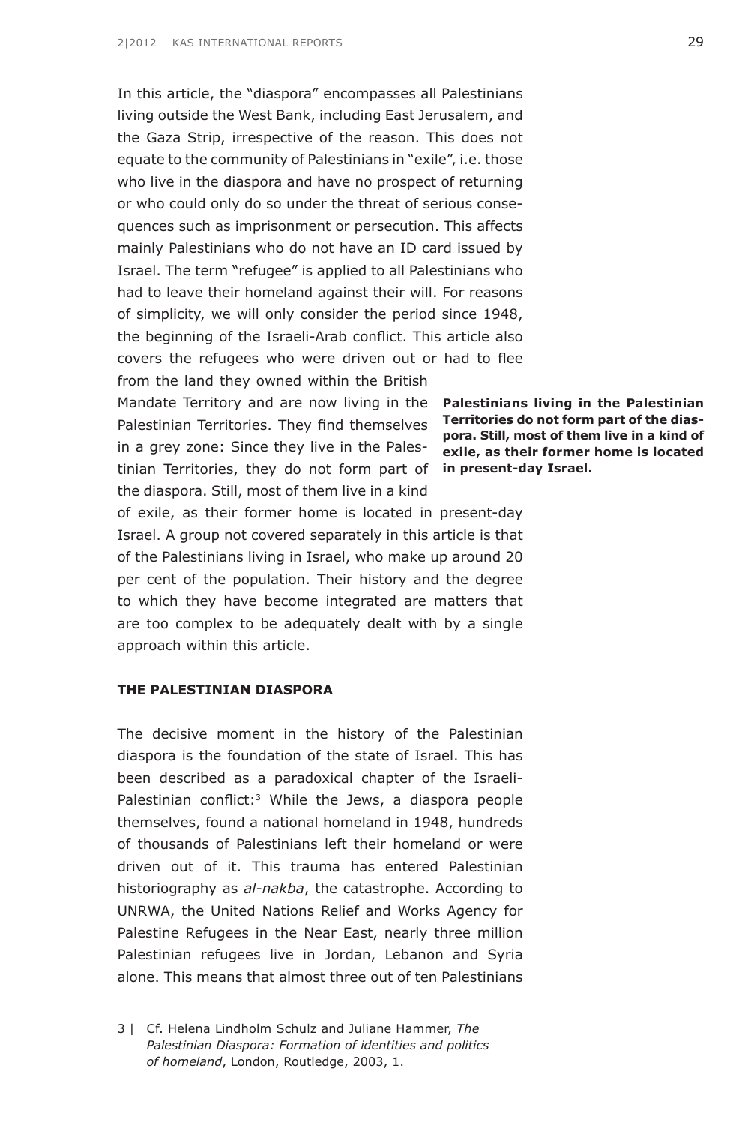In this article, the "diaspora" encompasses all Palestinians living outside the West Bank, including East Jerusalem, and the Gaza Strip, irrespective of the reason. This does not equate to the community of Palestinians in "exile", i.e. those who live in the diaspora and have no prospect of returning or who could only do so under the threat of serious consequences such as imprisonment or persecution. This affects mainly Palestinians who do not have an ID card issued by Israel. The term "refugee" is applied to all Palestinians who had to leave their homeland against their will. For reasons of simplicity, we will only consider the period since 1948, the beginning of the Israeli-Arab conflict. This article also covers the refugees who were driven out or had to flee from the land they owned within the British

Mandate Territory and are now living in the **Palestinians living in the Palestinian** Palestinian Territories. They find themselves **Territories do not form part of the dias**in a grey zone: Since they live in the Palestinian Territories, they do not form part of **in present-day Israel.**the diaspora. Still, most of them live in a kind

of exile, as their former home is located in present-day Israel. A group not covered separately in this article is that of the Palestinians living in Israel, who make up around 20 per cent of the population. Their history and the degree to which they have become integrated are matters that are too complex to be adequately dealt with by a single approach within this article.

#### **The Palestinian Diaspora**

The decisive moment in the history of the Palestinian diaspora is the foundation of the state of Israel. This has been described as a paradoxical chapter of the Israeli-Palestinian conflict:<sup>3</sup> While the Jews, a diaspora people themselves, found a national homeland in 1948, hundreds of thousands of Palestinians left their homeland or were driven out of it. This trauma has entered Palestinian historiography as *al-nakba*, the catastrophe. According to UNRWA, the United Nations Relief and Works Agency for Palestine Refugees in the Near East, nearly three million Palestinian refugees live in Jordan, Lebanon and Syria alone. This means that almost three out of ten Palestinians

**pora. Still, most of them live in a kind of exile, as their former home is located** 

<sup>3 |</sup> Cf. Helena Lindholm Schulz and Juliane Hammer, *The Palestinian Diaspora: Formation of identities and politics of homeland*, London, Routledge, 2003, 1.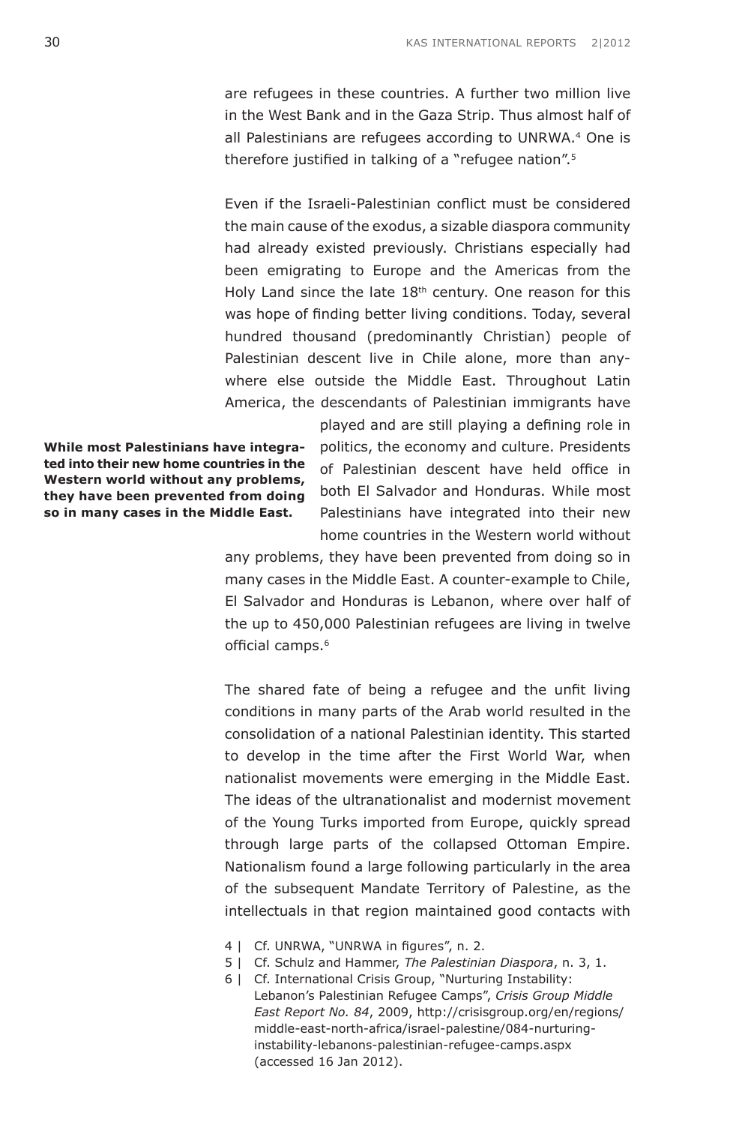are refugees in these countries. A further two million live in the West Bank and in the Gaza Strip. Thus almost half of all Palestinians are refugees according to UNRWA.4 One is therefore justified in talking of a "refugee nation".<sup>5</sup>

Even if the Israeli-Palestinian conflict must be considered the main cause of the exodus, a sizable diaspora community had already existed previously. Christians especially had been emigrating to Europe and the Americas from the Holy Land since the late  $18<sup>th</sup>$  century. One reason for this was hope of finding better living conditions. Today, several hundred thousand (predominantly Christian) people of Palestinian descent live in Chile alone, more than anywhere else outside the Middle East. Throughout Latin America, the descendants of Palestinian immigrants have

**While most Palestinians have integrated into their new home countries in the Western world without any problems, they have been prevented from doing so in many cases in the Middle East.**

played and are still playing a defining role in politics, the economy and culture. Presidents of Palestinian descent have held office in both El Salvador and Honduras. While most Palestinians have integrated into their new home countries in the Western world without

any problems, they have been prevented from doing so in many cases in the Middle East. A counter-example to Chile, El Salvador and Honduras is Lebanon, where over half of the up to 450,000 Palestinian refugees are living in twelve official camps.<sup>6</sup>

The shared fate of being a refugee and the unfit living conditions in many parts of the Arab world resulted in the consolidation of a national Palestinian identity. This started to develop in the time after the First World War, when nationalist movements were emerging in the Middle East. The ideas of the ultranationalist and modernist movement of the Young Turks imported from Europe, quickly spread through large parts of the collapsed Ottoman Empire. Nationalism found a large following particularly in the area of the subsequent Mandate Territory of Palestine, as the intellectuals in that region maintained good contacts with

- 4 | Cf. UNRWA, "UNRWA in figures", n. 2.
- 5 | Cf. Schulz and Hammer, *The Palestinian Diaspora*, n. 3, 1.
- 6 | Cf. International Crisis Group, "Nurturing Instability: Lebanon's Palestinian Refugee Camps", *Crisis Group Middle East Report No. 84*, 2009, [http://crisisgroup.org/en/regions/](http://www.crisisgroup.org/en/regions/middle-east-north-africa/israel-palestine/084-nurturing-instability-lebanons-palestinian-refugee-camps.aspx) [middle-east-north-africa/israel-palestine/084-nurturing](http://www.crisisgroup.org/en/regions/middle-east-north-africa/israel-palestine/084-nurturing-instability-lebanons-palestinian-refugee-camps.aspx)[instability-lebanons-palestinian-refugee-camps.aspx](http://www.crisisgroup.org/en/regions/middle-east-north-africa/israel-palestine/084-nurturing-instability-lebanons-palestinian-refugee-camps.aspx)  (accessed 16 Jan 2012).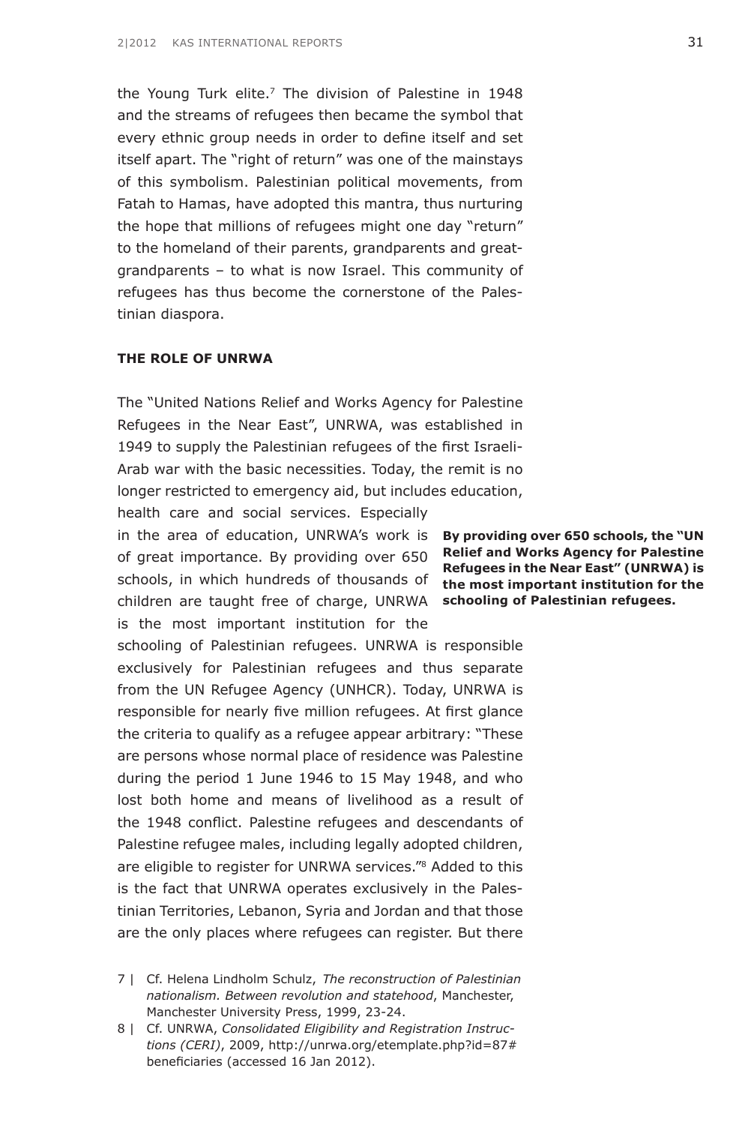the Young Turk elite.7 The division of Palestine in 1948 and the streams of refugees then became the symbol that every ethnic group needs in order to define itself and set itself apart. The "right of return" was one of the mainstays of this symbolism. Palestinian political movements, from Fatah to Hamas, have adopted this mantra, thus nurturing the hope that millions of refugees might one day "return" to the homeland of their parents, grandparents and greatgrandparents – to what is now Israel. This community of refugees has thus become the cornerstone of the Palestinian diaspora.

# **The Role of UNRWA**

The "United Nations Relief and Works Agency for Palestine Refugees in the Near East", UNRWA, was established in 1949 to supply the Palestinian refugees of the first Israeli-Arab war with the basic necessities. Today, the remit is no longer restricted to emergency aid, but includes education,

in the area of education, UNRWA's work is **By providing over 650 schools, the "UN** of great importance. By providing over 650 **Relief and Works Agency for Palestine** schools, in which hundreds of thousands of the most important institution for the children are taught free of charge, UNRWA schooling of Palestinian refugees. health care and social services. Especially is the most important institution for the

schooling of Palestinian refugees. UNRWA is responsible exclusively for Palestinian refugees and thus separate from the UN Refugee Agency (UNHCR). Today, UNRWA is responsible for nearly five million refugees. At first glance the criteria to qualify as a refugee appear arbitrary: "These are persons whose normal place of residence was Palestine during the period 1 June 1946 to 15 May 1948, and who lost both home and means of livelihood as a result of the 1948 conflict. Palestine refugees and descendants of Palestine refugee males, including legally adopted children, are eligible to register for UNRWA services."8 Added to this is the fact that UNRWA operates exclusively in the Palestinian Territories, Lebanon, Syria and Jordan and that those are the only places where refugees can register. But there

7 | Cf. Helena Lindholm Schulz, *The reconstruction of Palestinian nationalism. Between revolution and statehood*, Manchester, Manchester University Press, 1999, 23-24.

**Refugees in the Near East" (UNRWA) is** 

<sup>8 |</sup> Cf. UNRWA, *Consolidated Eligibility and Registration Instructions (CERI)*, 2009, [http://unrwa.org/etemplate.php?id=87#](http://unrwa.org/etemplate.php?id=87#beneficiaries) [beneficiaries](http://unrwa.org/etemplate.php?id=87#beneficiaries) (accessed 16 Jan 2012).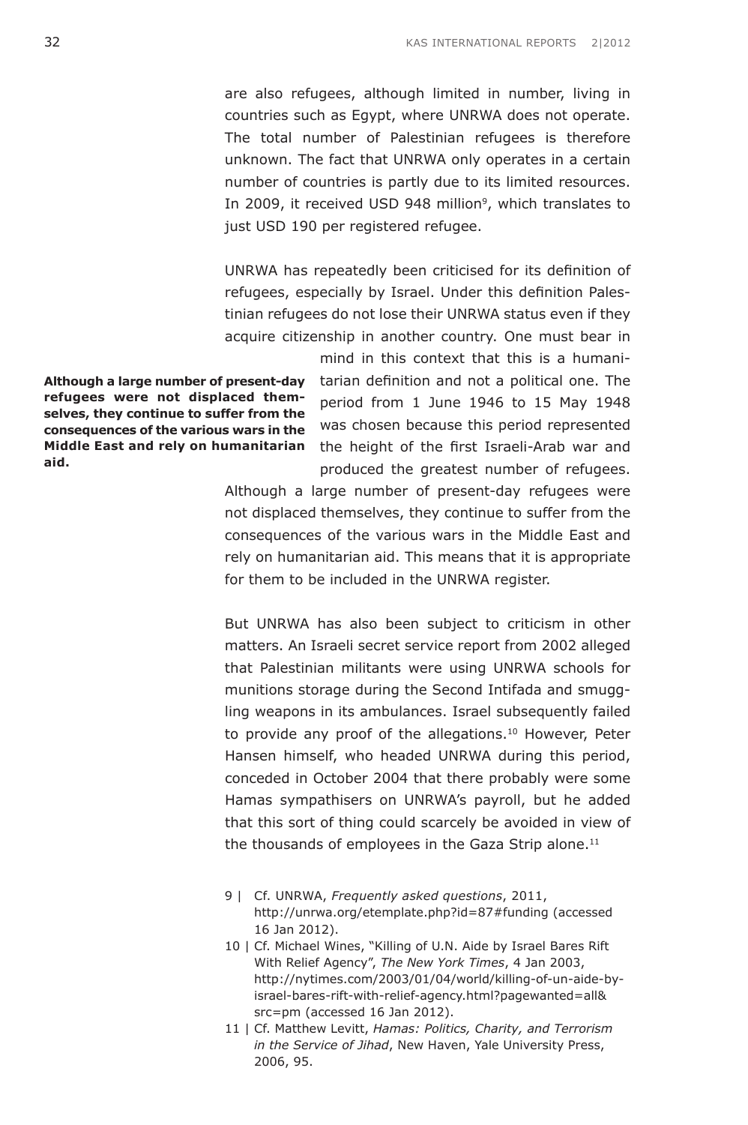are also refugees, although limited in number, living in countries such as Egypt, where UNRWA does not operate. The total number of Palestinian refugees is therefore unknown. The fact that UNRWA only operates in a certain number of countries is partly due to its limited resources. In 2009, it received USD 948 million<sup>9</sup>, which translates to just USD 190 per registered refugee.

UNRWA has repeatedly been criticised for its definition of refugees, especially by Israel. Under this definition Palestinian refugees do not lose their UNRWA status even if they acquire citizenship in another country. One must bear in

**Although a large number of present-day refugees were not displaced themselves, they continue to suffer from the consequences of the various wars in the Middle East and rely on humanitarian aid.**

mind in this context that this is a humanitarian definition and not a political one. The period from 1 June 1946 to 15 May 1948 was chosen because this period represented the height of the first Israeli-Arab war and produced the greatest number of refugees.

Although a large number of present-day refugees were not displaced themselves, they continue to suffer from the consequences of the various wars in the Middle East and rely on humanitarian aid. This means that it is appropriate for them to be included in the UNRWA register.

But UNRWA has also been subject to criticism in other matters. An Israeli secret service report from 2002 alleged that Palestinian militants were using UNRWA schools for munitions storage during the Second Intifada and smuggling weapons in its ambulances. Israel subsequently failed to provide any proof of the allegations.<sup>10</sup> However, Peter Hansen himself, who headed UNRWA during this period, conceded in October 2004 that there probably were some Hamas sympathisers on UNRWA's payroll, but he added that this sort of thing could scarcely be avoided in view of the thousands of employees in the Gaza Strip alone.<sup>11</sup>

- 9 | Cf. UNRWA, *Frequently asked questions*, 2011, [http://unrwa.org/etemplate.php?id=87#funding](http://www.unrwa.org/etemplate.php?id=87#funding) (accessed 16 Jan 2012).
- 10 | Cf. Michael Wines, "Killing of U.N. Aide by Israel Bares Rift With Relief Agency", *The New York Times*, 4 Jan 2003, [http://nytimes.com/2003/01/04/world/killing-of-un-aide-by](http://www.nytimes.com/2003/01/04/world/killing-of-un-aide-by-israel-bares-rift-with-relief-agency.html?pagewanted=all&src=pm)[israel-bares-rift-with-relief-agency.html?pagewanted=all&](http://www.nytimes.com/2003/01/04/world/killing-of-un-aide-by-israel-bares-rift-with-relief-agency.html?pagewanted=all&src=pm) [src=pm](http://www.nytimes.com/2003/01/04/world/killing-of-un-aide-by-israel-bares-rift-with-relief-agency.html?pagewanted=all&src=pm) (accessed 16 Jan 2012).
- 11 | Cf. Matthew Levitt, *Hamas: Politics, Charity, and Terrorism in the Service of Jihad*, New Haven, Yale University Press, 2006, 95.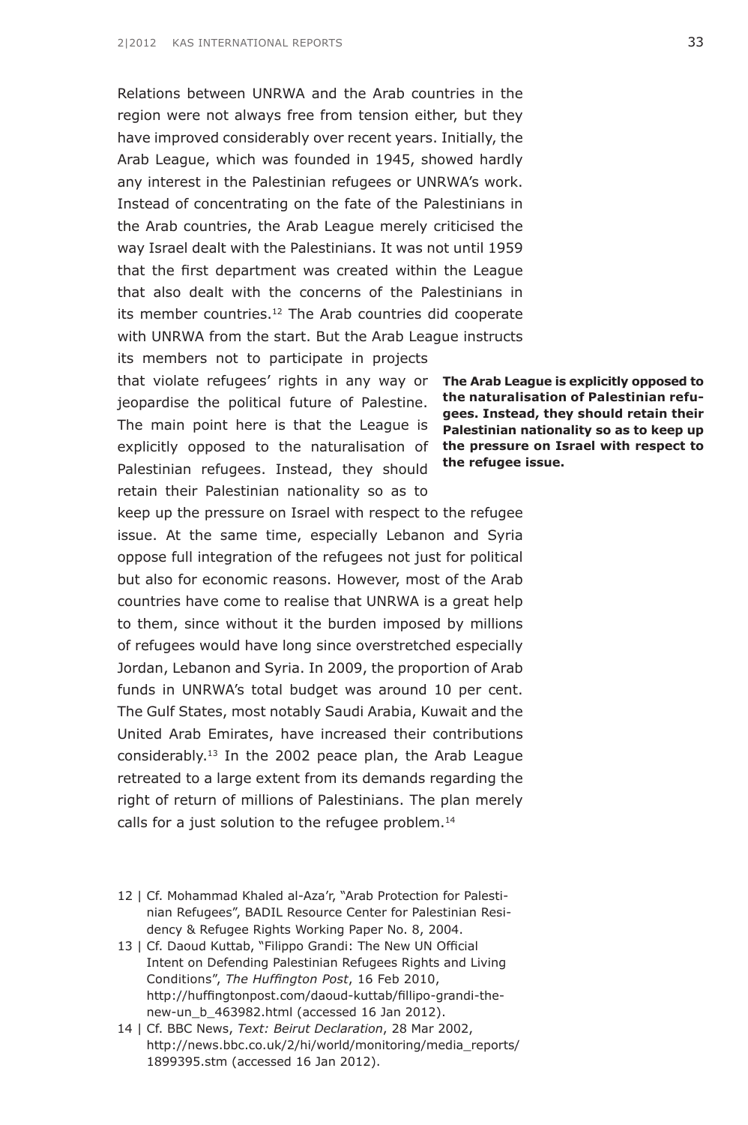Relations between UNRWA and the Arab countries in the region were not always free from tension either, but they have improved considerably over recent years. Initially, the Arab League, which was founded in 1945, showed hardly any interest in the Palestinian refugees or UNRWA's work. Instead of concentrating on the fate of the Palestinians in the Arab countries, the Arab League merely criticised the way Israel dealt with the Palestinians. It was not until 1959 that the first department was created within the League that also dealt with the concerns of the Palestinians in its member countries.<sup>12</sup> The Arab countries did cooperate with UNRWA from the start. But the Arab League instructs its members not to participate in projects

that violate refugees' rights in any way or **The Arab League is explicitly opposed to** jeopardise the political future of Palestine. The main point here is that the League is explicitly opposed to the naturalisation of Palestinian refugees. Instead, they should retain their Palestinian nationality so as to

keep up the pressure on Israel with respect to the refugee issue. At the same time, especially Lebanon and Syria oppose full integration of the refugees not just for political but also for economic reasons. However, most of the Arab countries have come to realise that UNRWA is a great help to them, since without it the burden imposed by millions of refugees would have long since overstretched especially Jordan, Lebanon and Syria. In 2009, the proportion of Arab funds in UNRWA's total budget was around 10 per cent. The Gulf States, most notably Saudi Arabia, Kuwait and the United Arab Emirates, have increased their contributions considerably. $13$  In the 2002 peace plan, the Arab League retreated to a large extent from its demands regarding the right of return of millions of Palestinians. The plan merely calls for a just solution to the refugee problem.<sup>14</sup>

12 | Cf. Mohammad Khaled al-Aza'r, "Arab Protection for Palestinian Refugees", BADIL Resource Center for Palestinian Residency & Refugee Rights Working Paper No. 8, 2004.

13 | Cf. Daoud Kuttab, "Filippo Grandi: The New UN Official Intent on Defending Palestinian Refugees Rights and Living Conditions", *The Huffington Post*, 16 Feb 2010, [http://huffingtonpost.com/daoud-kuttab/fillipo-grandi-the](http://www.huffingtonpost.com/daoud-kuttab/fillipo-grandi-the-new-un_b_463982.html)[new-un\\_b\\_463982.html](http://www.huffingtonpost.com/daoud-kuttab/fillipo-grandi-the-new-un_b_463982.html) (accessed 16 Jan 2012).

**the naturalisation of Palestinian refugees. Instead, they should retain their Palestinian nationality so as to keep up the pressure on Israel with respect to the refugee issue.**

<sup>14 |</sup> Cf. BBC News, *Text: Beirut Declaration*, 28 Mar 2002, [http://news.bbc.co.uk/2/hi/world/monitoring/media\\_reports/](http://news.bbc.co.uk/2/hi/world/monitoring/media_reports/1899395.stm) [1899395.stm](http://news.bbc.co.uk/2/hi/world/monitoring/media_reports/1899395.stm) (accessed 16 Jan 2012).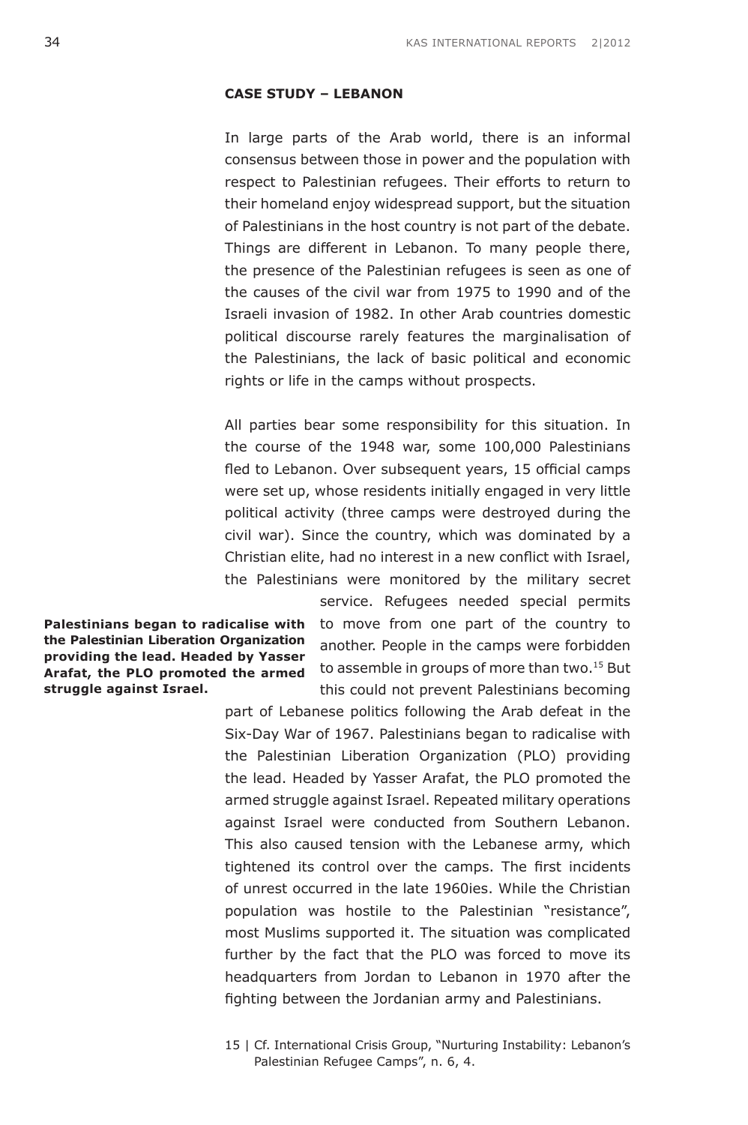#### **Case Study – Lebanon**

In large parts of the Arab world, there is an informal consensus between those in power and the population with respect to Palestinian refugees. Their efforts to return to their homeland enjoy widespread support, but the situation of Palestinians in the host country is not part of the debate. Things are different in Lebanon. To many people there, the presence of the Palestinian refugees is seen as one of the causes of the civil war from 1975 to 1990 and of the Israeli invasion of 1982. In other Arab countries domestic political discourse rarely features the marginalisation of the Palestinians, the lack of basic political and economic rights or life in the camps without prospects.

All parties bear some responsibility for this situation. In the course of the 1948 war, some 100,000 Palestinians fled to Lebanon. Over subsequent years, 15 official camps were set up, whose residents initially engaged in very little political activity (three camps were destroyed during the civil war). Since the country, which was dominated by a Christian elite, had no interest in a new conflict with Israel, the Palestinians were monitored by the military secret

**Palestinians began to radicalise with the Palestinian Liberation Organization providing the lead. Headed by Yasser Arafat, the PLO promoted the armed struggle against Israel.**

service. Refugees needed special permits to move from one part of the country to another. People in the camps were forbidden to assemble in groups of more than two.<sup>15</sup> But this could not prevent Palestinians becoming

part of Lebanese politics following the Arab defeat in the Six-Day War of 1967. Palestinians began to radicalise with the Palestinian Liberation Organization (PLO) providing the lead. Headed by Yasser Arafat, the PLO promoted the armed struggle against Israel. Repeated military operations against Israel were conducted from Southern Lebanon. This also caused tension with the Lebanese army, which tightened its control over the camps. The first incidents of unrest occurred in the late 1960ies. While the Christian population was hostile to the Palestinian "resistance", most Muslims supported it. The situation was complicated further by the fact that the PLO was forced to move its headquarters from Jordan to Lebanon in 1970 after the fighting between the Jordanian army and Palestinians.

15 | Cf. International Crisis Group, "Nurturing Instability: Lebanon's Palestinian Refugee Camps", n. 6, 4.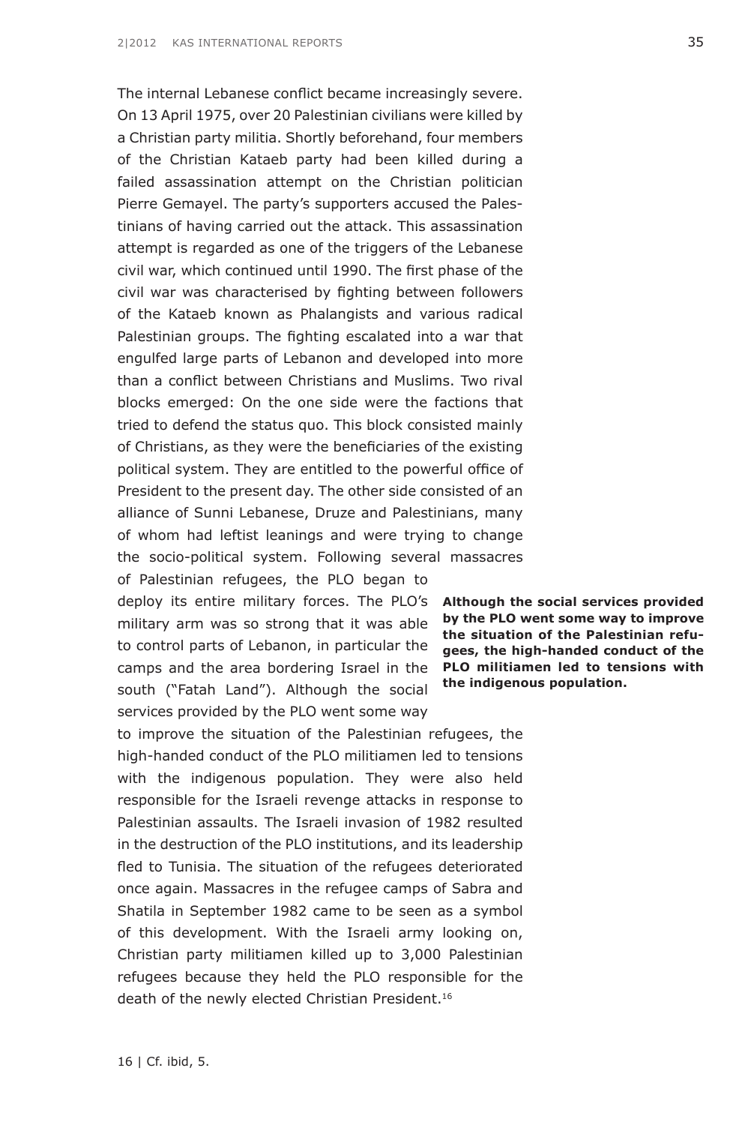death of the newly elected Christian President.<sup>16</sup>

16 | Cf. ibid, 5.

**by the PLO went some way to improve the situation of the Palestinian refugees, the high-handed conduct of the PLO militiamen led to tensions with the indigenous population.**

On 13 April 1975, over 20 Palestinian civilians were killed by a Christian party militia. Shortly beforehand, four members of the Christian Kataeb party had been killed during a failed assassination attempt on the Christian politician Pierre Gemayel. The party's supporters accused the Palestinians of having carried out the attack. This assassination attempt is regarded as one of the triggers of the Lebanese civil war, which continued until 1990. The first phase of the civil war was characterised by fighting between followers of the Kataeb known as Phalangists and various radical Palestinian groups. The fighting escalated into a war that engulfed large parts of Lebanon and developed into more than a conflict between Christians and Muslims. Two rival blocks emerged: On the one side were the factions that tried to defend the status quo. This block consisted mainly of Christians, as they were the beneficiaries of the existing political system. They are entitled to the powerful office of President to the present day. The other side consisted of an alliance of Sunni Lebanese, Druze and Palestinians, many of whom had leftist leanings and were trying to change the socio-political system. Following several massacres of Palestinian refugees, the PLO began to

The internal Lebanese conflict became increasingly severe.

deploy its entire military forces. The PLO's **Although the social services provided**  military arm was so strong that it was able to control parts of Lebanon, in particular the camps and the area bordering Israel in the south ("Fatah Land"). Although the social services provided by the PLO went some way

to improve the situation of the Palestinian refugees, the high-handed conduct of the PLO militiamen led to tensions with the indigenous population. They were also held responsible for the Israeli revenge attacks in response to Palestinian assaults. The Israeli invasion of 1982 resulted in the destruction of the PLO institutions, and its leadership fled to Tunisia. The situation of the refugees deteriorated once again. Massacres in the refugee camps of Sabra and Shatila in September 1982 came to be seen as a symbol of this development. With the Israeli army looking on, Christian party militiamen killed up to 3,000 Palestinian refugees because they held the PLO responsible for the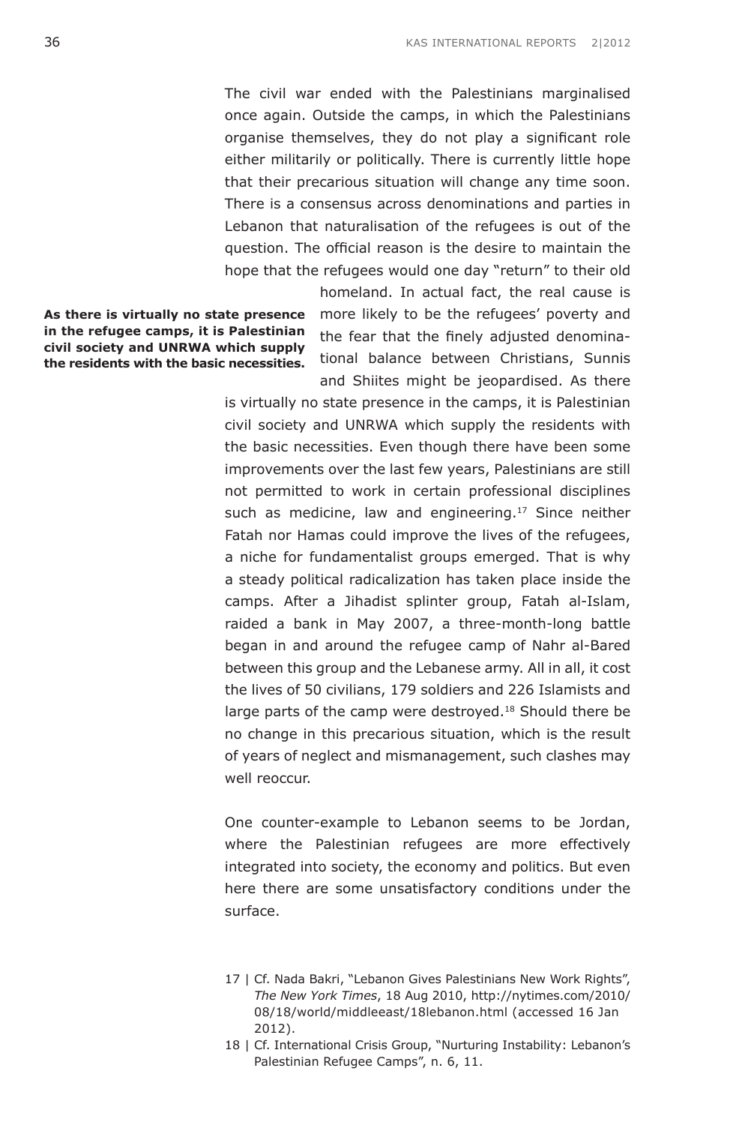The civil war ended with the Palestinians marginalised once again. Outside the camps, in which the Palestinians organise themselves, they do not play a significant role either militarily or politically. There is currently little hope that their precarious situation will change any time soon. There is a consensus across denominations and parties in Lebanon that naturalisation of the refugees is out of the question. The official reason is the desire to maintain the hope that the refugees would one day "return" to their old

**As there is virtually no state presence in the refugee camps, it is Palestinian civil society and UNRWA which supply the residents with the basic necessities.**

homeland. In actual fact, the real cause is more likely to be the refugees' poverty and the fear that the finely adjusted denominational balance between Christians, Sunnis and Shiites might be jeopardised. As there

is virtually no state presence in the camps, it is Palestinian civil society and UNRWA which supply the residents with the basic necessities. Even though there have been some improvements over the last few years, Palestinians are still not permitted to work in certain professional disciplines such as medicine, law and engineering.<sup>17</sup> Since neither Fatah nor Hamas could improve the lives of the refugees, a niche for fundamentalist groups emerged. That is why a steady political radicalization has taken place inside the camps. After a Jihadist splinter group, Fatah al-Islam, raided a bank in May 2007, a three-month-long battle began in and around the refugee camp of Nahr al-Bared between this group and the Lebanese army. All in all, it cost the lives of 50 civilians, 179 soldiers and 226 Islamists and large parts of the camp were destroyed.<sup>18</sup> Should there be no change in this precarious situation, which is the result of years of neglect and mismanagement, such clashes may well reoccur.

One counter-example to Lebanon seems to be Jordan, where the Palestinian refugees are more effectively integrated into society, the economy and politics. But even here there are some unsatisfactory conditions under the surface.

<sup>17 |</sup> Cf. Nada Bakri, "Lebanon Gives Palestinians New Work Rights", *The New York Times*, 18 Aug 2010, [http://nytimes.com/2010/](http://www.nytimes.com/2010/08/18/world/middleeast/18lebanon.html) [08/18/world/middleeast/18lebanon.html](http://www.nytimes.com/2010/08/18/world/middleeast/18lebanon.html) (accessed 16 Jan 2012).

<sup>18 |</sup> Cf. International Crisis Group, "Nurturing Instability: Lebanon's Palestinian Refugee Camps", n. 6, 11.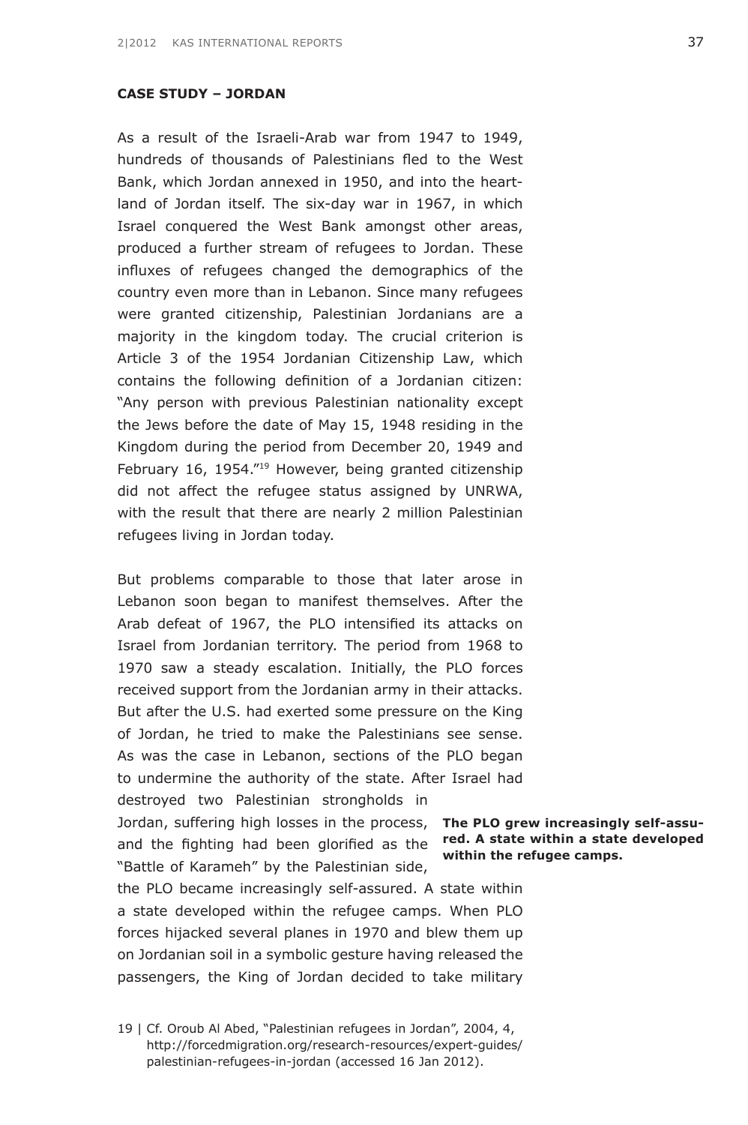## **Case Study – Jordan**

As a result of the Israeli-Arab war from 1947 to 1949, hundreds of thousands of Palestinians fled to the West Bank, which Jordan annexed in 1950, and into the heartland of Jordan itself. The six-day war in 1967, in which Israel conquered the West Bank amongst other areas, produced a further stream of refugees to Jordan. These influxes of refugees changed the demographics of the country even more than in Lebanon. Since many refugees were granted citizenship, Palestinian Jordanians are a majority in the kingdom today. The crucial criterion is Article 3 of the 1954 Jordanian Citizenship Law, which contains the following definition of a Jordanian citizen: "Any person with previous Palestinian nationality except the Jews before the date of May 15, 1948 residing in the Kingdom during the period from December 20, 1949 and February 16, 1954."<sup>19</sup> However, being granted citizenship did not affect the refugee status assigned by UNRWA, with the result that there are nearly 2 million Palestinian refugees living in Jordan today.

But problems comparable to those that later arose in Lebanon soon began to manifest themselves. After the Arab defeat of 1967, the PLO intensified its attacks on Israel from Jordanian territory. The period from 1968 to 1970 saw a steady escalation. Initially, the PLO forces received support from the Jordanian army in their attacks. But after the U.S. had exerted some pressure on the King of Jordan, he tried to make the Palestinians see sense. As was the case in Lebanon, sections of the PLO began to undermine the authority of the state. After Israel had destroyed two Palestinian strongholds in

Jordan, suffering high losses in the process, **The PLO grew increasingly self-assu**and the fighting had been glorified as the **red. A state within a state developed**  "Battle of Karameh" by the Palestinian side,

the PLO became increasingly self-assured. A state within a state developed within the refugee camps. When PLO forces hijacked several planes in 1970 and blew them up on Jordanian soil in a symbolic gesture having released the passengers, the King of Jordan decided to take military

**within the refugee camps.**

<sup>19 |</sup> Cf. Oroub Al Abed, "Palestinian refugees in Jordan", 2004, 4, [http://forcedmigration.org/research-resources/expert-guides/](http://www.forcedmigration.org/research-resources/expert-guides/palestinian-refugees-in-jordan) [palestinian-refugees-in-jordan](http://www.forcedmigration.org/research-resources/expert-guides/palestinian-refugees-in-jordan) (accessed 16 Jan 2012).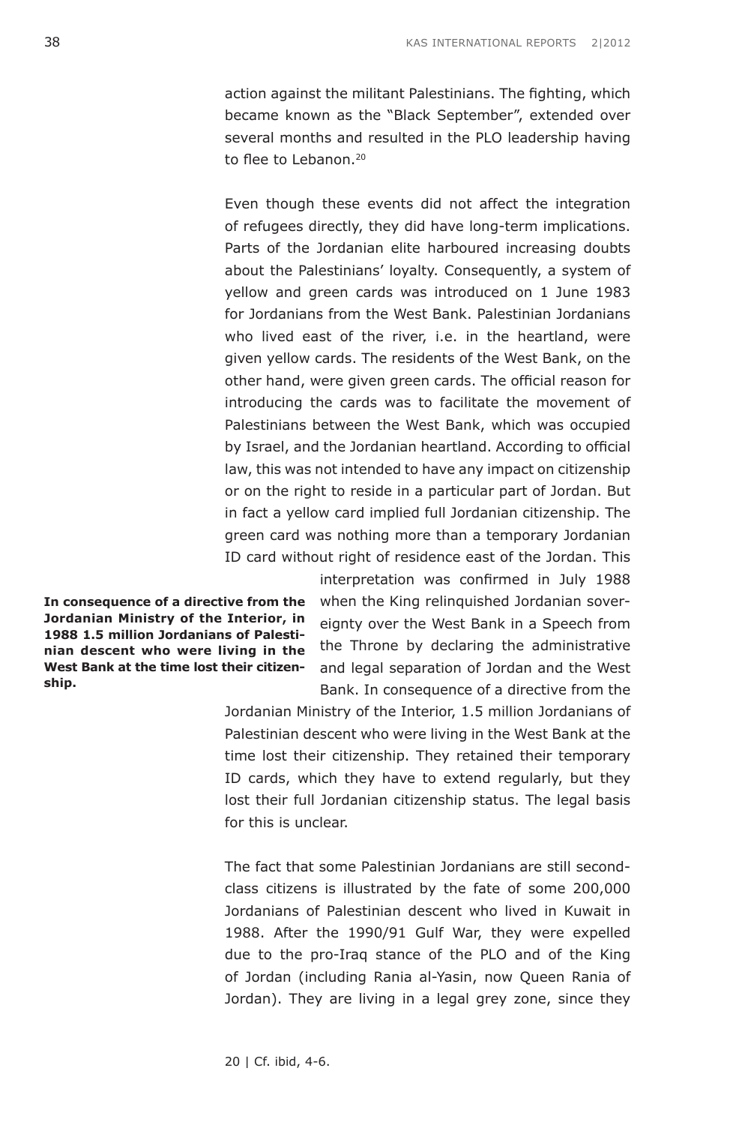action against the militant Palestinians. The fighting, which became known as the "Black September", extended over several months and resulted in the PLO leadership having to flee to Lebanon<sup>20</sup>

Even though these events did not affect the integration of refugees directly, they did have long-term implications. Parts of the Jordanian elite harboured increasing doubts about the Palestinians' loyalty. Consequently, a system of yellow and green cards was introduced on 1 June 1983 for Jordanians from the West Bank. Palestinian Jordanians who lived east of the river, i.e. in the heartland, were given yellow cards. The residents of the West Bank, on the other hand, were given green cards. The official reason for introducing the cards was to facilitate the movement of Palestinians between the West Bank, which was occupied by Israel, and the Jordanian heartland. According to official law, this was not intended to have any impact on citizenship or on the right to reside in a particular part of Jordan. But in fact a yellow card implied full Jordanian citizenship. The green card was nothing more than a temporary Jordanian ID card without right of residence east of the Jordan. This

**In consequence of a directive from the Jordanian Ministry of the Interior, in 1988 1.5 million Jordanians of Palestinian descent who were living in the West Bank at the time lost their citizenship.**

interpretation was confirmed in July 1988 when the King relinquished Jordanian sovereignty over the West Bank in a Speech from the Throne by declaring the administrative and legal separation of Jordan and the West Bank. In consequence of a directive from the

Jordanian Ministry of the Interior, 1.5 million Jordanians of Palestinian descent who were living in the West Bank at the time lost their citizenship. They retained their temporary ID cards, which they have to extend regularly, but they lost their full Jordanian citizenship status. The legal basis for this is unclear.

The fact that some Palestinian Jordanians are still secondclass citizens is illustrated by the fate of some 200,000 Jordanians of Palestinian descent who lived in Kuwait in 1988. After the 1990/91 Gulf War, they were expelled due to the pro-Iraq stance of the PLO and of the King of Jordan (including Rania al-Yasin, now Queen Rania of Jordan). They are living in a legal grey zone, since they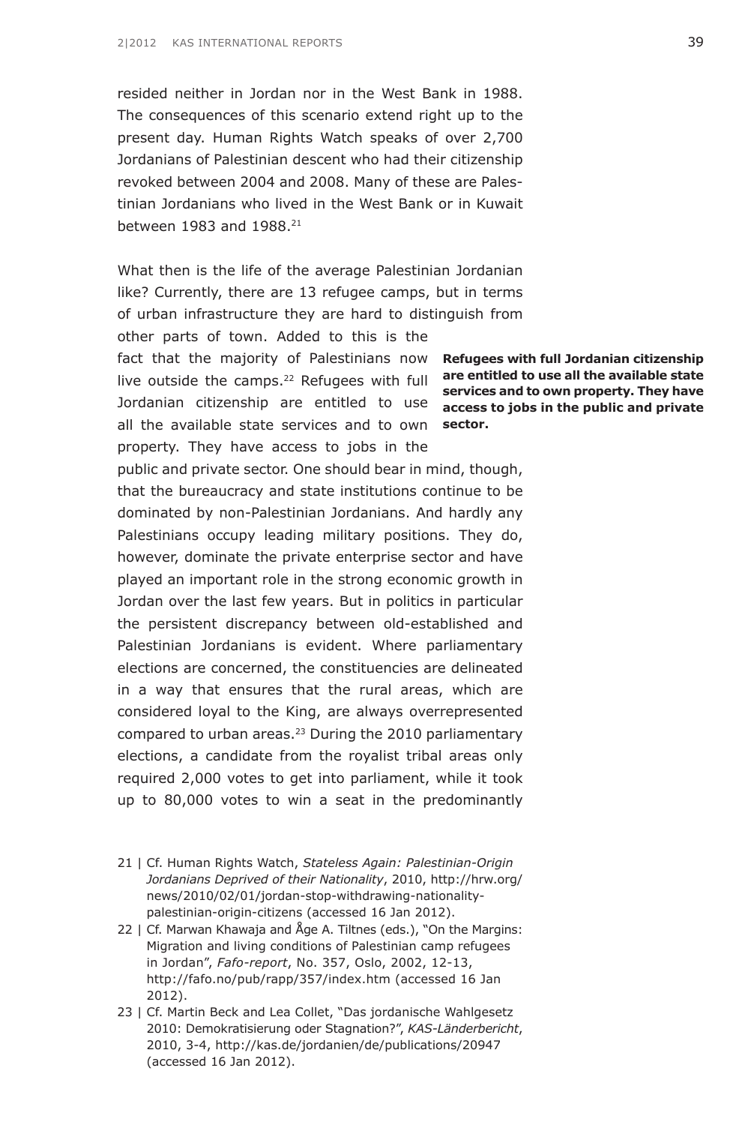resided neither in Jordan nor in the West Bank in 1988. The consequences of this scenario extend right up to the present day. Human Rights Watch speaks of over 2,700 Jordanians of Palestinian descent who had their citizenship revoked between 2004 and 2008. Many of these are Palestinian Jordanians who lived in the West Bank or in Kuwait between 1983 and 1988.21

What then is the life of the average Palestinian Jordanian like? Currently, there are 13 refugee camps, but in terms of urban infrastructure they are hard to distinguish from other parts of town. Added to this is the fact that the majority of Palestinians now **Refugees with full Jordanian citizenship** 

live outside the camps.22 Refugees with full **are entitled to use all the available state**  Jordanian citizenship are entitled to use all the available state services and to own **sector.**

property. They have access to jobs in the public and private sector. One should bear in mind, though, that the bureaucracy and state institutions continue to be dominated by non-Palestinian Jordanians. And hardly any Palestinians occupy leading military positions. They do, however, dominate the private enterprise sector and have played an important role in the strong economic growth in Jordan over the last few years. But in politics in particular the persistent discrepancy between old-established and Palestinian Jordanians is evident. Where parliamentary elections are concerned, the constituencies are delineated in a way that ensures that the rural areas, which are considered loyal to the King, are always overrepresented compared to urban areas.<sup>23</sup> During the 2010 parliamentary elections, a candidate from the royalist tribal areas only required 2,000 votes to get into parliament, while it took up to 80,000 votes to win a seat in the predominantly

21 | Cf. Human Rights Watch, *Stateless Again: Palestinian-Origin Jordanians Deprived of their Nationality*, 2010, [http://hrw.org/](http://www.hrw.org/news/2010/02/01/jordan-stop-withdrawing-nationality-palestinian-origin-citizens) [news/2010/02/01/jordan-stop-withdrawing-nationality](http://www.hrw.org/news/2010/02/01/jordan-stop-withdrawing-nationality-palestinian-origin-citizens)[palestinian-origin-citizens](http://www.hrw.org/news/2010/02/01/jordan-stop-withdrawing-nationality-palestinian-origin-citizens) (accessed 16 Jan 2012).

22 | Cf. Marwan Khawaja and Åge A. Tiltnes (eds.), "On the Margins: Migration and living conditions of Palestinian camp refugees in Jordan", *Fafo-report*, No. 357, Oslo, 2002, 12-13, [http://fafo.no/pub/rapp/357/index.htm](http://www.fafo.no/pub/rapp/357/index.htm) (accessed 16 Jan 2012).

23 | Cf. Martin Beck and Lea Collet, "Das jordanische Wahlgesetz 2010: Demokratisierung oder Stagnation?", *KAS-Länderbericht*, 2010, 3-4, [http://kas.de/jordanien/de/publications/20947](http://www.kas.de/jordanien/de/publications/20947/) (accessed 16 Jan 2012).

**services and to own property. They have access to jobs in the public and private**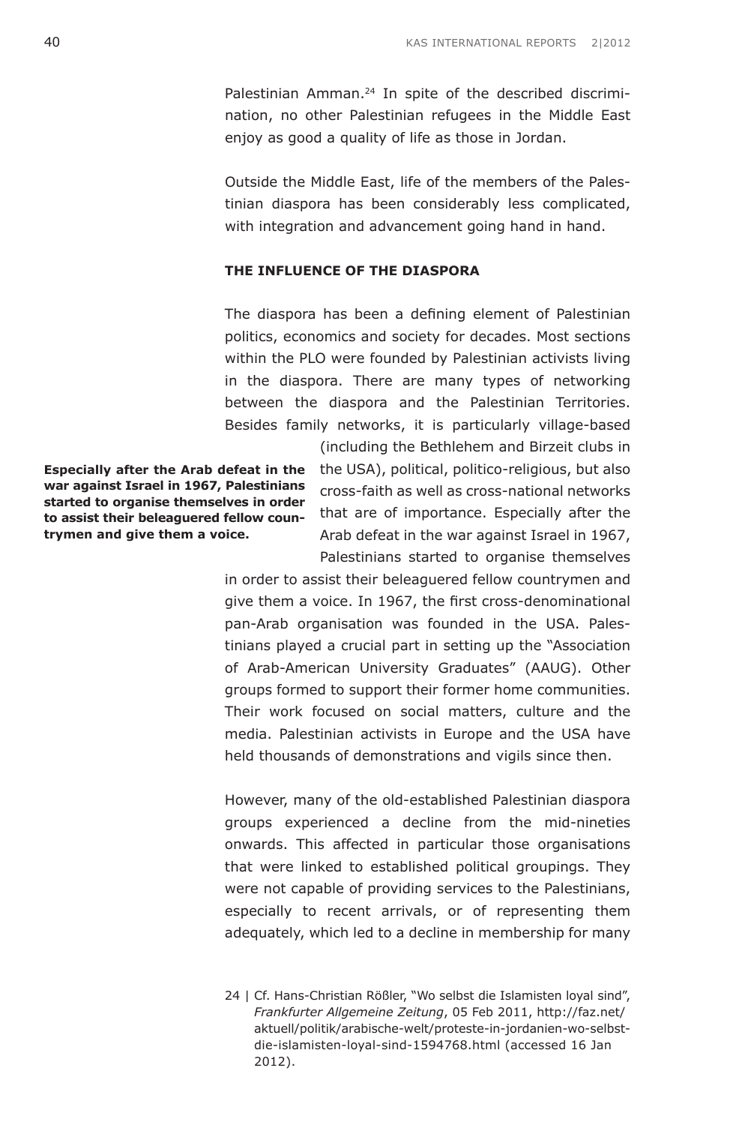Palestinian Amman.<sup>24</sup> In spite of the described discrimination, no other Palestinian refugees in the Middle East enjoy as good a quality of life as those in Jordan.

Outside the Middle East, life of the members of the Palestinian diaspora has been considerably less complicated, with integration and advancement going hand in hand.

### **The Influence of the Diaspora**

The diaspora has been a defining element of Palestinian politics, economics and society for decades. Most sections within the PLO were founded by Palestinian activists living in the diaspora. There are many types of networking between the diaspora and the Palestinian Territories. Besides family networks, it is particularly village-based

**Especially after the Arab defeat in the war against Israel in 1967, Palestinians started to organise themselves in order to assist their beleaguered fellow countrymen and give them a voice.**

(including the Bethlehem and Birzeit clubs in the USA), political, politico-religious, but also cross-faith as well as cross-national networks that are of importance. Especially after the Arab defeat in the war against Israel in 1967, Palestinians started to organise themselves

in order to assist their beleaguered fellow countrymen and give them a voice. In 1967, the first cross-denominational pan-Arab organisation was founded in the USA. Palestinians played a crucial part in setting up the "Association of Arab-American University Graduates" (AAUG). Other groups formed to support their former home communities. Their work focused on social matters, culture and the media. Palestinian activists in Europe and the USA have held thousands of demonstrations and vigils since then.

However, many of the old-established Palestinian diaspora groups experienced a decline from the mid-nineties onwards. This affected in particular those organisations that were linked to established political groupings. They were not capable of providing services to the Palestinians, especially to recent arrivals, or of representing them adequately, which led to a decline in membership for many

<sup>24 |</sup> Cf. Hans-Christian Rößler, "Wo selbst die Islamisten loyal sind", *Frankfurter Allgemeine Zeitung*, 05 Feb 2011, [http://faz.net/](http://www.faz.net/aktuell/politik/arabische-welt/proteste-in-jordanien-wo-selbst-die-islamisten-loyal-sind-1594768.html) [aktuell/politik/arabische-welt/proteste-in-jordanien-wo-selbst](http://www.faz.net/aktuell/politik/arabische-welt/proteste-in-jordanien-wo-selbst-die-islamisten-loyal-sind-1594768.html)[die-islamisten-loyal-sind-1594768.html](http://www.faz.net/aktuell/politik/arabische-welt/proteste-in-jordanien-wo-selbst-die-islamisten-loyal-sind-1594768.html) (accessed 16 Jan 2012).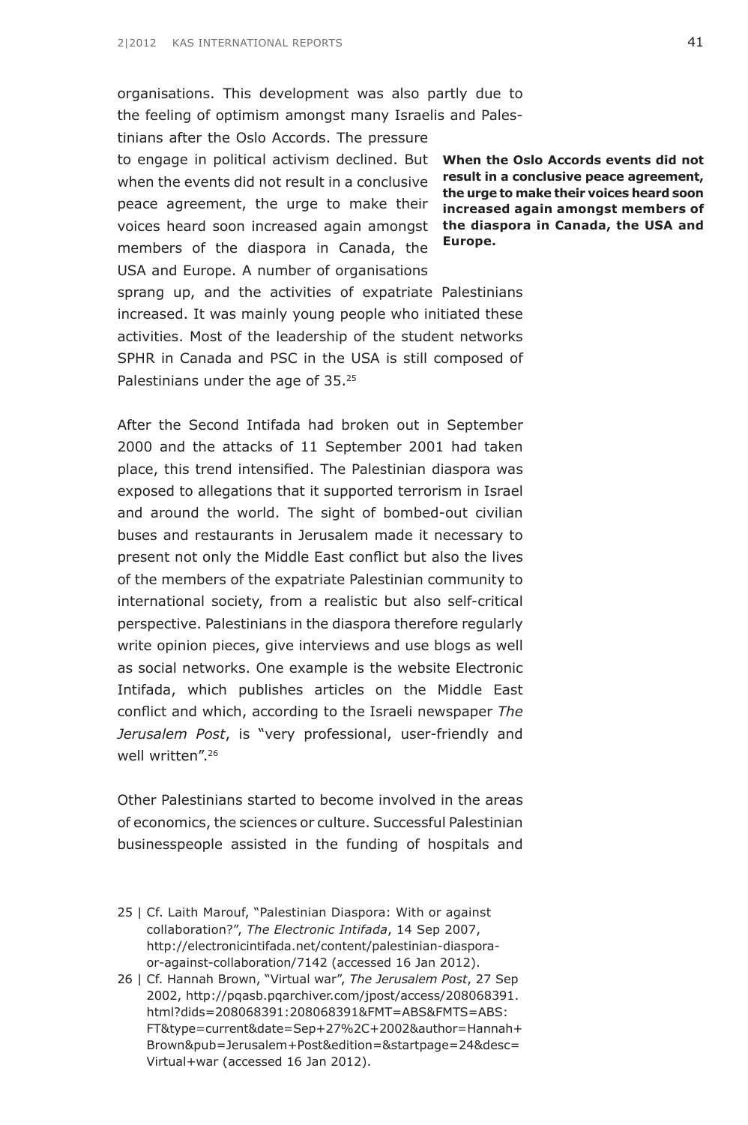organisations. This development was also partly due to the feeling of optimism amongst many Israelis and Pales-

to engage in political activism declined. But **When the Oslo Accords events did not** voices heard soon increased again amongst **the diaspora in Canada, the USA and** tinians after the Oslo Accords. The pressure when the events did not result in a conclusive peace agreement, the urge to make their members of the diaspora in Canada, the USA and Europe. A number of organisations sprang up, and the activities of expatriate Palestinians increased. It was mainly young people who initiated these activities. Most of the leadership of the student networks SPHR in Canada and PSC in the USA is still composed of Palestinians under the age of 35.25

After the Second Intifada had broken out in September 2000 and the attacks of 11 September 2001 had taken place, this trend intensified. The Palestinian diaspora was exposed to allegations that it supported terrorism in Israel and around the world. The sight of bombed-out civilian buses and restaurants in Jerusalem made it necessary to present not only the Middle East conflict but also the lives of the members of the expatriate Palestinian community to international society, from a realistic but also self-critical perspective. Palestinians in the diaspora therefore regularly write opinion pieces, give interviews and use blogs as well as social networks. One example is the website Electronic Intifada, which publishes articles on the Middle East conflict and which, according to the Israeli newspaper *The Jerusalem Post*, is "very professional, user-friendly and well written".<sup>26</sup>

Other Palestinians started to become involved in the areas of economics, the sciences or culture. Successful Palestinian businesspeople assisted in the funding of hospitals and

- 25 | Cf. Laith Marouf, "Palestinian Diaspora: With or against collaboration?", *The Electronic Intifada*, 14 Sep 2007, [http://electronicintifada.net/content/palestinian-diaspora](http://electronicintifada.net/content/palestinian-diaspora-or-against-collaboration/7142)[or-against-collaboration/7142](http://electronicintifada.net/content/palestinian-diaspora-or-against-collaboration/7142) (accessed 16 Jan 2012).
- 26 | Cf. Hannah Brown, "Virtual war", *The Jerusalem Post*, 27 Sep 2002, [http://pqasb.pqarchiver.com/jpost/access/208068391.](http://pqasb.pqarchiver.com/jpost/access/208068391.html?dids=208068391:208068391&FMT=ABS&FMTS=ABS:FT&type=current&date=Sep+27%2C+2002&author=Hannah+Brown&pub=Jerusalem+Post&edition=&startpage=24&desc=Virtual+war) [html?dids=208068391:208068391&FMT=ABS&FMTS=ABS:](http://pqasb.pqarchiver.com/jpost/access/208068391.html?dids=208068391:208068391&FMT=ABS&FMTS=ABS:FT&type=current&date=Sep+27%2C+2002&author=Hannah+Brown&pub=Jerusalem+Post&edition=&startpage=24&desc=Virtual+war) [FT&type=current&date=Sep+27%2C+2002&author=Hannah+](http://pqasb.pqarchiver.com/jpost/access/208068391.html?dids=208068391:208068391&FMT=ABS&FMTS=ABS:FT&type=current&date=Sep+27%2C+2002&author=Hannah+Brown&pub=Jerusalem+Post&edition=&startpage=24&desc=Virtual+war) [Brown&pub=Jerusalem+Post&edition=&startpage=24&desc=](http://pqasb.pqarchiver.com/jpost/access/208068391.html?dids=208068391:208068391&FMT=ABS&FMTS=ABS:FT&type=current&date=Sep+27%2C+2002&author=Hannah+Brown&pub=Jerusalem+Post&edition=&startpage=24&desc=Virtual+war) [Virtual+war](http://pqasb.pqarchiver.com/jpost/access/208068391.html?dids=208068391:208068391&FMT=ABS&FMTS=ABS:FT&type=current&date=Sep+27%2C+2002&author=Hannah+Brown&pub=Jerusalem+Post&edition=&startpage=24&desc=Virtual+war) (accessed 16 Jan 2012).

**result in a conclusive peace agreement, the urge to make their voices heard soon increased again amongst members of Europe.**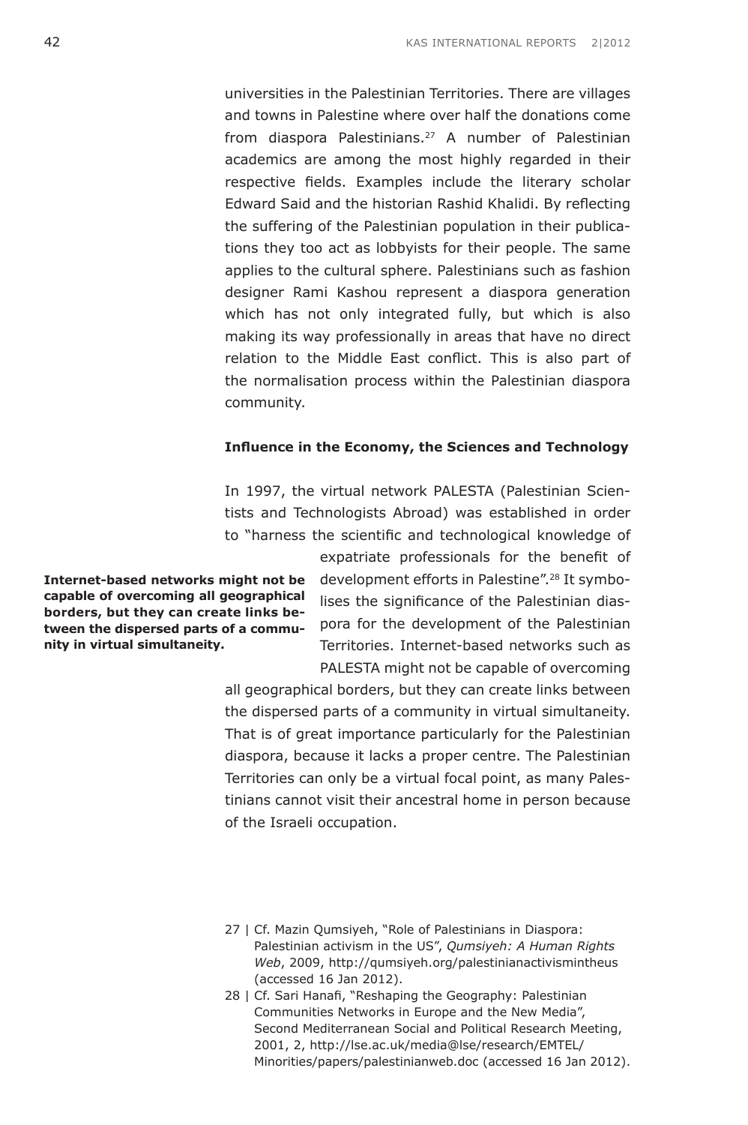universities in the Palestinian Territories. There are villages and towns in Palestine where over half the donations come from diaspora Palestinians.27 A number of Palestinian academics are among the most highly regarded in their respective fields. Examples include the literary scholar Edward Said and the historian Rashid Khalidi. By reflecting the suffering of the Palestinian population in their publications they too act as lobbyists for their people. The same applies to the cultural sphere. Palestinians such as fashion designer Rami Kashou represent a diaspora generation which has not only integrated fully, but which is also making its way professionally in areas that have no direct relation to the Middle East conflict. This is also part of the normalisation process within the Palestinian diaspora community.

#### **Influence in the Economy, the Sciences and Technology**

In 1997, the virtual network PALESTA (Palestinian Scientists and Technologists Abroad) was established in order to "harness the scientific and technological knowledge of

**Internet-based networks might not be capable of overcoming all geographical borders, but they can create links between the dispersed parts of a community in virtual simultaneity.** 

expatriate professionals for the benefit of development efforts in Palestine".28 It symbolises the significance of the Palestinian diaspora for the development of the Palestinian Territories. Internet-based networks such as PALESTA might not be capable of overcoming

all geographical borders, but they can create links between the dispersed parts of a community in virtual simultaneity. That is of great importance particularly for the Palestinian diaspora, because it lacks a proper centre. The Palestinian Territories can only be a virtual focal point, as many Palestinians cannot visit their ancestral home in person because of the Israeli occupation.

- 27 | Cf. Mazin Qumsiyeh, "Role of Palestinians in Diaspora: Palestinian activism in the US", *Qumsiyeh: A Human Rights Web*, 2009, <http://qumsiyeh.org/palestinianactivismintheus> (accessed 16 Jan 2012).
- 28 | Cf. Sari Hanafi, "Reshaping the Geography: Palestinian Communities Networks in Europe and the New Media", Second Mediterranean Social and Political Research Meeting, 2001, 2, [http://lse.ac.uk/media@lse/research/EMTEL/](www2.lse.ac.uk/media@lse/research/EMTEL/Minorities/papers/palestinianweb.doc) [Minorities/papers/palestinianweb.doc](www2.lse.ac.uk/media@lse/research/EMTEL/Minorities/papers/palestinianweb.doc) (accessed 16 Jan 2012).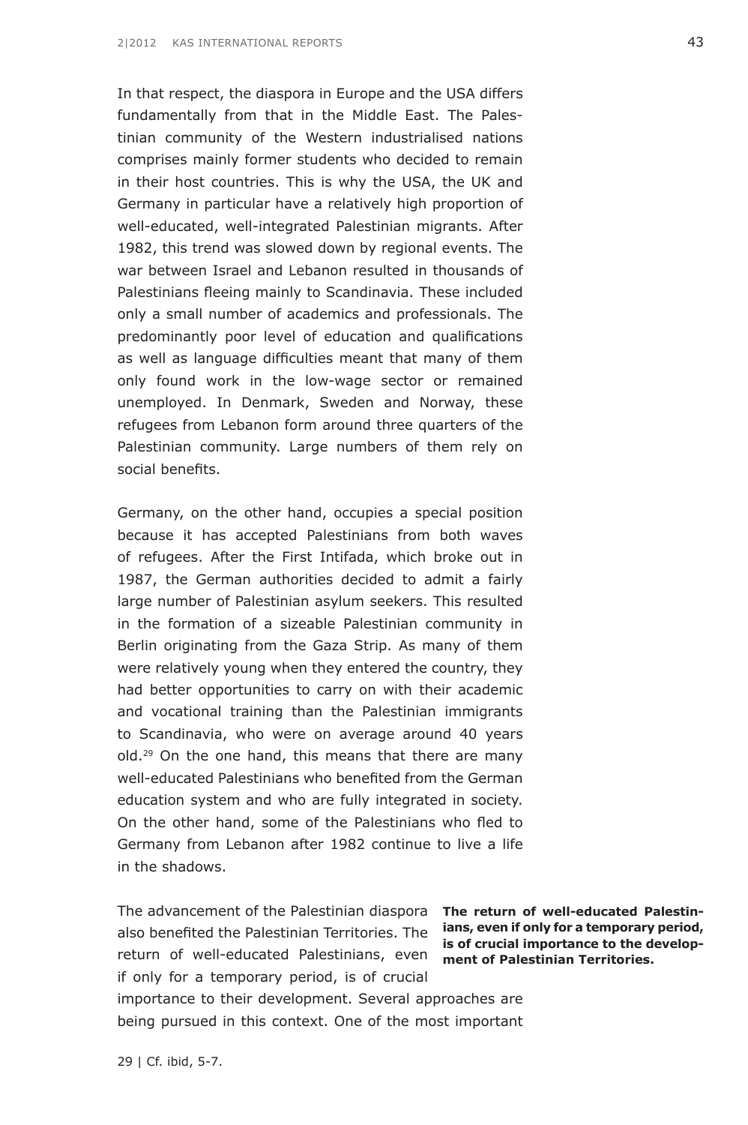In that respect, the diaspora in Europe and the USA differs fundamentally from that in the Middle East. The Palestinian community of the Western industrialised nations comprises mainly former students who decided to remain in their host countries. This is why the USA, the UK and Germany in particular have a relatively high proportion of well-educated, well-integrated Palestinian migrants. After 1982, this trend was slowed down by regional events. The war between Israel and Lebanon resulted in thousands of Palestinians fleeing mainly to Scandinavia. These included only a small number of academics and professionals. The predominantly poor level of education and qualifications as well as language difficulties meant that many of them only found work in the low-wage sector or remained unemployed. In Denmark, Sweden and Norway, these refugees from Lebanon form around three quarters of the Palestinian community. Large numbers of them rely on social benefits.

Germany, on the other hand, occupies a special position because it has accepted Palestinians from both waves of refugees. After the First Intifada, which broke out in 1987, the German authorities decided to admit a fairly large number of Palestinian asylum seekers. This resulted in the formation of a sizeable Palestinian community in Berlin originating from the Gaza Strip. As many of them were relatively young when they entered the country, they had better opportunities to carry on with their academic and vocational training than the Palestinian immigrants to Scandinavia, who were on average around 40 years old.<sup>29</sup> On the one hand, this means that there are many well-educated Palestinians who benefited from the German education system and who are fully integrated in society. On the other hand, some of the Palestinians who fled to Germany from Lebanon after 1982 continue to live a life in the shadows.

The advancement of the Palestinian diaspora **The return of well-educated Palestin**also benefited the Palestinian Territories. The return of well-educated Palestinians, even if only for a temporary period, is of crucial

**ians, even if only for a temporary period, is of crucial importance to the development of Palestinian Territories.**

importance to their development. Several approaches are being pursued in this context. One of the most important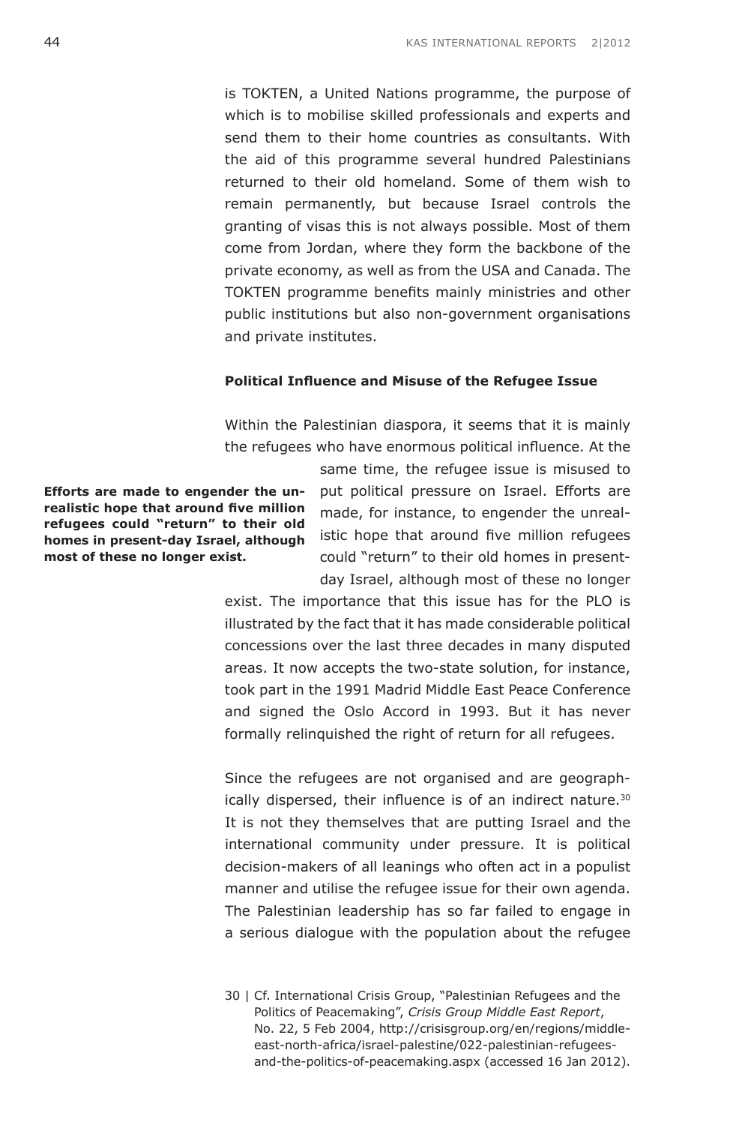is TOKTEN, a United Nations programme, the purpose of which is to mobilise skilled professionals and experts and send them to their home countries as consultants. With the aid of this programme several hundred Palestinians returned to their old homeland. Some of them wish to remain permanently, but because Israel controls the granting of visas this is not always possible. Most of them come from Jordan, where they form the backbone of the private economy, as well as from the USA and Canada. The TOKTEN programme benefits mainly ministries and other public institutions but also non-government organisations and private institutes.

### **Political Influence and Misuse of the Refugee Issue**

Within the Palestinian diaspora, it seems that it is mainly the refugees who have enormous political influence. At the

**Efforts are made to engender the unrealistic hope that around five million refugees could "return" to their old homes in present-day Israel, although most of these no longer exist.**

same time, the refugee issue is misused to put political pressure on Israel. Efforts are made, for instance, to engender the unrealistic hope that around five million refugees could "return" to their old homes in presentday Israel, although most of these no longer

exist. The importance that this issue has for the PLO is illustrated by the fact that it has made considerable political concessions over the last three decades in many disputed areas. It now accepts the two-state solution, for instance, took part in the 1991 Madrid Middle East Peace Conference and signed the Oslo Accord in 1993. But it has never formally relinquished the right of return for all refugees.

Since the refugees are not organised and are geographically dispersed, their influence is of an indirect nature.<sup>30</sup> It is not they themselves that are putting Israel and the international community under pressure. It is political decision-makers of all leanings who often act in a populist manner and utilise the refugee issue for their own agenda. The Palestinian leadership has so far failed to engage in a serious dialogue with the population about the refugee

<sup>30 |</sup> Cf. International Crisis Group, "Palestinian Refugees and the Politics of Peacemaking", *Crisis Group Middle East Report*, No. 22, 5 Feb 2004, [http://crisisgroup.org/en/regions/middle](http://www.crisisgroup.org/en/regions/middle-east-north-africa/israel-palestine/022-palestinian-refugees-and-the-politics-of-peacemaking.aspx)[east-north-africa/israel-palestine/022-palestinian-refugees](http://www.crisisgroup.org/en/regions/middle-east-north-africa/israel-palestine/022-palestinian-refugees-and-the-politics-of-peacemaking.aspx)[and-the-politics-of-peacemaking.aspx](http://www.crisisgroup.org/en/regions/middle-east-north-africa/israel-palestine/022-palestinian-refugees-and-the-politics-of-peacemaking.aspx) (accessed 16 Jan 2012).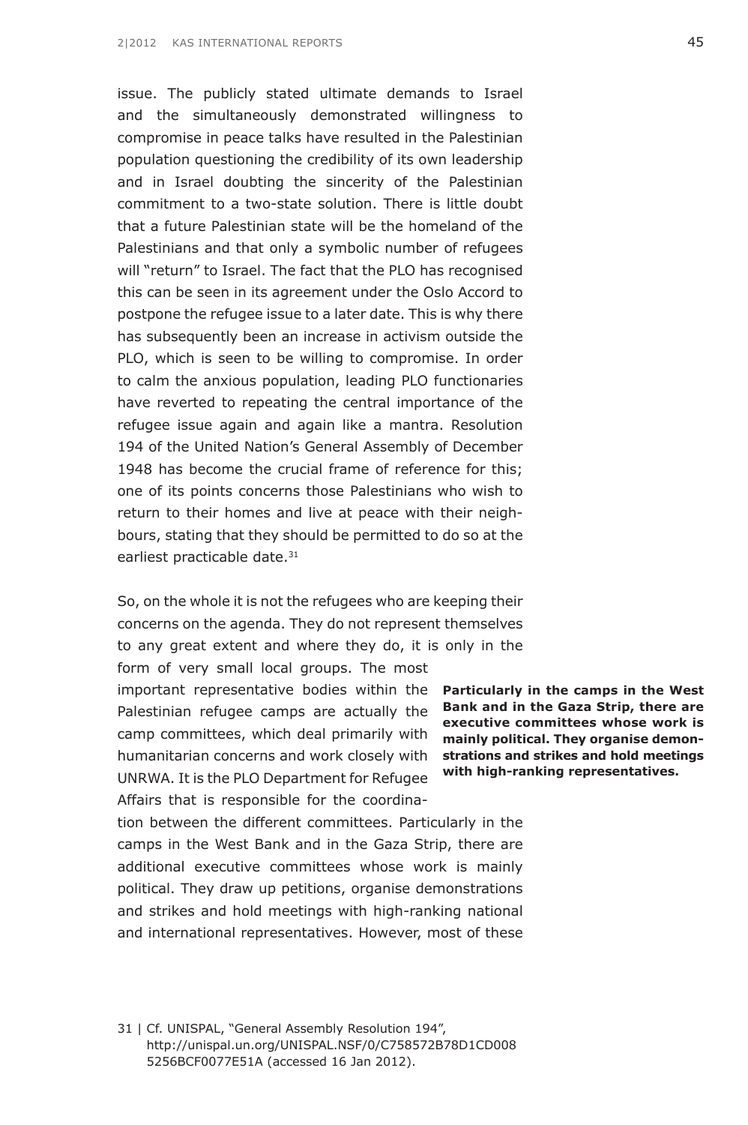issue. The publicly stated ultimate demands to Israel and the simultaneously demonstrated willingness to compromise in peace talks have resulted in the Palestinian population questioning the credibility of its own leadership and in Israel doubting the sincerity of the Palestinian commitment to a two-state solution. There is little doubt that a future Palestinian state will be the homeland of the Palestinians and that only a symbolic number of refugees will "return" to Israel. The fact that the PLO has recognised this can be seen in its agreement under the Oslo Accord to postpone the refugee issue to a later date. This is why there has subsequently been an increase in activism outside the PLO, which is seen to be willing to compromise. In order to calm the anxious population, leading PLO functionaries have reverted to repeating the central importance of the refugee issue again and again like a mantra. Resolution 194 of the United Nation's General Assembly of December 1948 has become the crucial frame of reference for this; one of its points concerns those Palestinians who wish to return to their homes and live at peace with their neighbours, stating that they should be permitted to do so at the earliest practicable date.<sup>31</sup>

So, on the whole it is not the refugees who are keeping their concerns on the agenda. They do not represent themselves to any great extent and where they do, it is only in the form of very small local groups. The most

important representative bodies within the **Particularly in the camps in the West** humanitarian concerns and work closely with **strations and strikes and hold meetings** Palestinian refugee camps are actually the camp committees, which deal primarily with UNRWA. It is the PLO Department for Refugee Affairs that is responsible for the coordina-

**Bank and in the Gaza Strip, there are executive committees whose work is mainly political. They organise demonwith high-ranking representatives.**

tion between the different committees. Particularly in the camps in the West Bank and in the Gaza Strip, there are additional executive committees whose work is mainly political. They draw up petitions, organise demonstrations and strikes and hold meetings with high-ranking national and international representatives. However, most of these

31 | Cf. UNISPAL, "General Assembly Resolution 194", [http://unispal.un.org/UNISPAL.NSF/0/C758572B78D1CD008](http://unispal.un.org/UNISPAL.NSF/0/C758572B78D1CD0085256BCF0077E51A) [5256BCF0077E51A](http://unispal.un.org/UNISPAL.NSF/0/C758572B78D1CD0085256BCF0077E51A) (accessed 16 Jan 2012).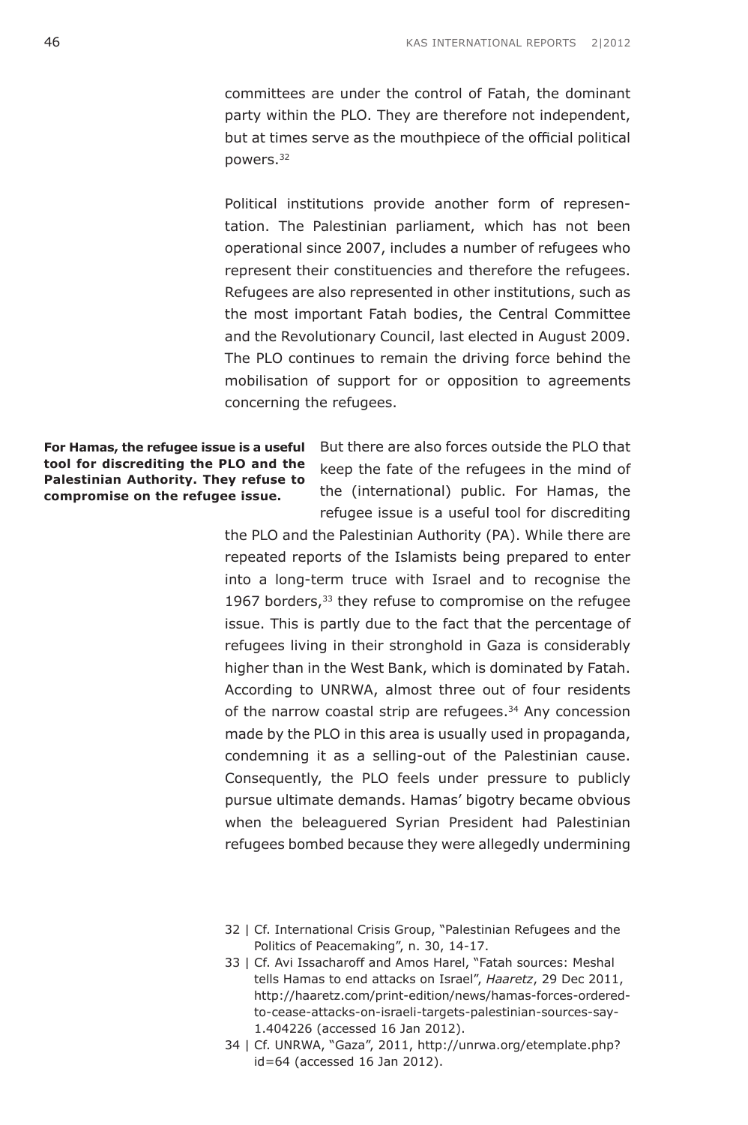committees are under the control of Fatah, the dominant party within the PLO. They are therefore not independent, but at times serve as the mouthpiece of the official political powers.32

Political institutions provide another form of representation. The Palestinian parliament, which has not been operational since 2007, includes a number of refugees who represent their constituencies and therefore the refugees. Refugees are also represented in other institutions, such as the most important Fatah bodies, the Central Committee and the Revolutionary Council, last elected in August 2009. The PLO continues to remain the driving force behind the mobilisation of support for or opposition to agreements concerning the refugees.

**For Hamas, the refugee issue is a useful tool for discrediting the PLO and the Palestinian Authority. They refuse to compromise on the refugee issue.**

But there are also forces outside the PLO that keep the fate of the refugees in the mind of the (international) public. For Hamas, the refugee issue is a useful tool for discrediting

the PLO and the Palestinian Authority (PA). While there are repeated reports of the Islamists being prepared to enter into a long-term truce with Israel and to recognise the 1967 borders,<sup>33</sup> they refuse to compromise on the refugee issue. This is partly due to the fact that the percentage of refugees living in their stronghold in Gaza is considerably higher than in the West Bank, which is dominated by Fatah. According to UNRWA, almost three out of four residents of the narrow coastal strip are refugees.<sup>34</sup> Any concession made by the PLO in this area is usually used in propaganda, condemning it as a selling-out of the Palestinian cause. Consequently, the PLO feels under pressure to publicly pursue ultimate demands. Hamas' bigotry became obvious when the beleaguered Syrian President had Palestinian refugees bombed because they were allegedly undermining

- 32 | Cf. International Crisis Group, "Palestinian Refugees and the Politics of Peacemaking", n. 30, 14-17.
- 33 | Cf. Avi Issacharoff and Amos Harel, "Fatah sources: Meshal tells Hamas to end attacks on Israel", *Haaretz*, 29 Dec 2011, [http://haaretz.com/print-edition/news/hamas-forces-ordered](http://www.haaretz.com/print-edition/news/hamas-forces-ordered-to-cease-attacks-on-israeli-targets-palestinian-sources-say-1.404226)[to-cease-attacks-on-israeli-targets-palestinian-sources-say-](http://www.haaretz.com/print-edition/news/hamas-forces-ordered-to-cease-attacks-on-israeli-targets-palestinian-sources-say-1.404226)[1.404226](http://www.haaretz.com/print-edition/news/hamas-forces-ordered-to-cease-attacks-on-israeli-targets-palestinian-sources-say-1.404226) (accessed 16 Jan 2012).
- 34 | Cf. UNRWA, "Gaza", 2011, [http://unrwa.org/etemplate.php?](http://www.unrwa.org/etemplate.php?id=64) [id=64](http://www.unrwa.org/etemplate.php?id=64) (accessed 16 Jan 2012).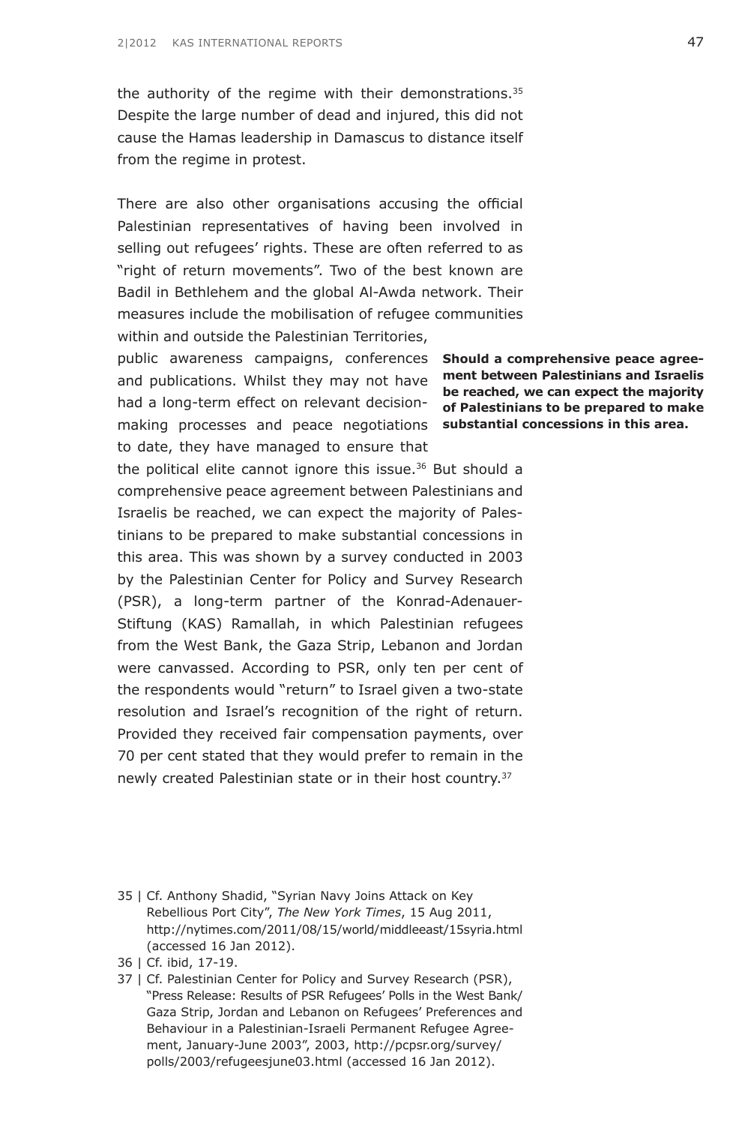the authority of the regime with their demonstrations.<sup>35</sup> Despite the large number of dead and injured, this did not cause the Hamas leadership in Damascus to distance itself from the regime in protest.

There are also other organisations accusing the official Palestinian representatives of having been involved in selling out refugees' rights. These are often referred to as "right of return movements". Two of the best known are Badil in Bethlehem and the global Al-Awda network. Their measures include the mobilisation of refugee communities within and outside the Palestinian Territories,

public awareness campaigns, conferences **Should a comprehensive peace agree**and publications. Whilst they may not have **ment between Palestinians and Israelis** had a long-term effect on relevant decision- of **Palestinians to be prepared to make** making processes and peace negotiations **substantial concessions in this area.** to date, they have managed to ensure that

the political elite cannot ignore this issue.<sup>36</sup> But should a comprehensive peace agreement between Palestinians and Israelis be reached, we can expect the majority of Palestinians to be prepared to make substantial concessions in this area. This was shown by a survey conducted in 2003 by the Palestinian Center for Policy and Survey Research (PSR), a long-term partner of the Konrad-Adenauer-Stiftung (KAS) Ramallah, in which Palestinian refugees from the West Bank, the Gaza Strip, Lebanon and Jordan were canvassed. According to PSR, only ten per cent of the respondents would "return" to Israel given a two-state resolution and Israel's recognition of the right of return. Provided they received fair compensation payments, over 70 per cent stated that they would prefer to remain in the newly created Palestinian state or in their host country.37

35 | Cf. Anthony Shadid, "Syrian Navy Joins Attack on Key Rebellious Port City", *The New York Times*, 15 Aug 2011, [http://nytimes.com/2011/08/15/world/middleeast/15syria.html](http://www.nytimes.com/2011/08/15/world/middleeast/15syria.html) (accessed 16 Jan 2012).

37 | Cf. Palestinian Center for Policy and Survey Research (PSR), "Press Release: Results of PSR Refugees' Polls in the West Bank/ Gaza Strip, Jordan and Lebanon on Refugees' Preferences and Behaviour in a Palestinian-Israeli Permanent Refugee Agreement, January-June 2003", 2003, [http://pcpsr.org/survey/](http://www.pcpsr.org/survey/polls/2003/refugeesjune03.html) [polls/2003/refugeesjune03.html](http://www.pcpsr.org/survey/polls/2003/refugeesjune03.html) (accessed 16 Jan 2012).

**be reached, we can expect the majority** 

<sup>36 |</sup> Cf. ibid, 17-19.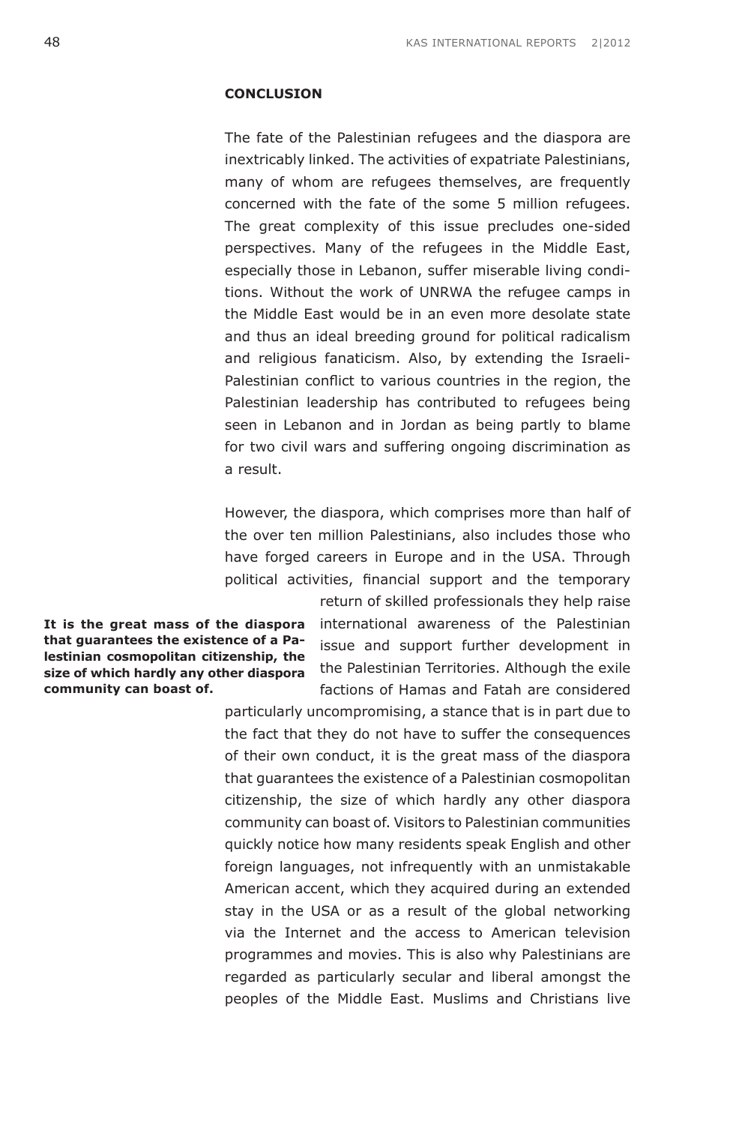# **Conclusion**

The fate of the Palestinian refugees and the diaspora are inextricably linked. The activities of expatriate Palestinians, many of whom are refugees themselves, are frequently concerned with the fate of the some 5 million refugees. The great complexity of this issue precludes one-sided perspectives. Many of the refugees in the Middle East, especially those in Lebanon, suffer miserable living conditions. Without the work of UNRWA the refugee camps in the Middle East would be in an even more desolate state and thus an ideal breeding ground for political radicalism and religious fanaticism. Also, by extending the Israeli-Palestinian conflict to various countries in the region, the Palestinian leadership has contributed to refugees being seen in Lebanon and in Jordan as being partly to blame for two civil wars and suffering ongoing discrimination as a result.

However, the diaspora, which comprises more than half of the over ten million Palestinians, also includes those who have forged careers in Europe and in the USA. Through political activities, financial support and the temporary

**It is the great mass of the diaspora that guarantees the existence of a Palestinian cosmopolitan citizenship, the size of which hardly any other diaspora community can boast of.**

return of skilled professionals they help raise international awareness of the Palestinian issue and support further development in the Palestinian Territories. Although the exile factions of Hamas and Fatah are considered

particularly uncompromising, a stance that is in part due to the fact that they do not have to suffer the consequences of their own conduct, it is the great mass of the diaspora that guarantees the existence of a Palestinian cosmopolitan citizenship, the size of which hardly any other diaspora community can boast of. Visitors to Palestinian communities quickly notice how many residents speak English and other foreign languages, not infrequently with an unmistakable American accent, which they acquired during an extended stay in the USA or as a result of the global networking via the Internet and the access to American television programmes and movies. This is also why Palestinians are regarded as particularly secular and liberal amongst the peoples of the Middle East. Muslims and Christians live